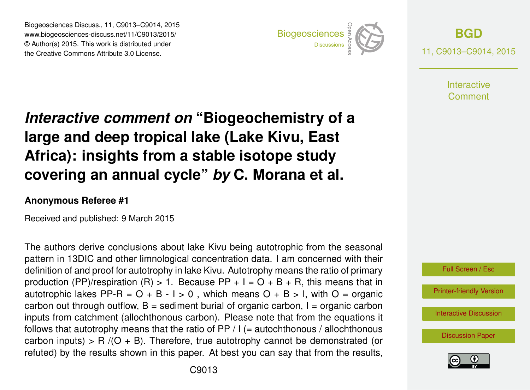Biogeosciences Discuss., 11, C9013–C9014, 2015 www.biogeosciences-discuss.net/11/C9013/2015/ © Author(s) 2015. This work is distributed under Biogeosciences Discuss., 11, C9013–C9014, 2015<br>
www.biogeosciences-discuss.net/11/C9013/2015/<br>
© Author(s) 2015. This work is distributed under<br>
the Creative Commons Attribute 3.0 License.



**[BGD](http://www.biogeosciences-discuss.net)** 11, C9013–C9014, 2015

> **Interactive** Comment

## *Interactive comment on* **"Biogeochemistry of a large and deep tropical lake (Lake Kivu, East Africa): insights from a stable isotope study covering an annual cycle"** *by* **C. Morana et al.**

## **Anonymous Referee #1**

Received and published: 9 March 2015

The authors derive conclusions about lake Kivu being autotrophic from the seasonal pattern in 13DIC and other limnological concentration data. I am concerned with their definition of and proof for autotrophy in lake Kivu. Autotrophy means the ratio of primary production (PP)/respiration (R) > 1. Because PP +  $I = O + B + R$ , this means that in autotrophic lakes PP-R =  $O + B - I > 0$ . which means  $O + B > I$ , with  $O =$  organic carbon out through outflow,  $B =$  sediment burial of organic carbon,  $I =$  organic carbon inputs from catchment (allochthonous carbon). Please note that from the equations it follows that autotrophy means that the ratio of  $PP / I (=$  autochthonous / allochthonous carbon inputs) > R  $/(O + B)$ . Therefore, true autotrophy cannot be demonstrated (or refuted) by the results shown in this paper. At best you can say that from the results,